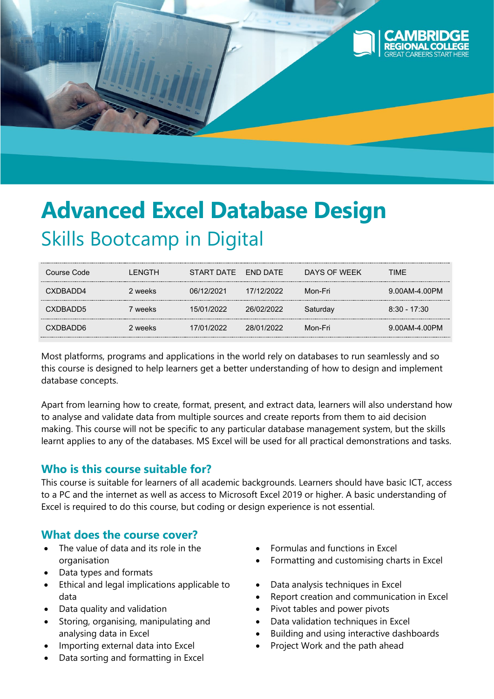

# **Advanced Excel Database Design** Skills Bootcamp in Digital

| Course Code | I FNGTH | START DATE | <b>FND DATE</b> | DAYS OF WFFK | TIME           |
|-------------|---------|------------|-----------------|--------------|----------------|
| CXDBADD4    | 2 weeks | 06/12/2021 | 17/12/2022      | Mon-Fri      | 9.00AM-4.00PM  |
| CXDBADD5    | ' weeks | 15/01/2022 | 26/02/2022      | Saturdav     | $8:30 - 17:30$ |
| CXDBADD6    | 2 weeks | 17/01/2022 | 28/01/2022      | Mon-Fri      | 9.00AM-4.00PM  |

Most platforms, programs and applications in the world rely on databases to run seamlessly and so this course is designed to help learners get a better understanding of how to design and implement database concepts.

Apart from learning how to create, format, present, and extract data, learners will also understand how to analyse and validate data from multiple sources and create reports from them to aid decision making. This course will not be specific to any particular database management system, but the skills learnt applies to any of the databases. MS Excel will be used for all practical demonstrations and tasks.

# **Who is this course suitable for?**

This course is suitable for learners of all academic backgrounds. Learners should have basic ICT, access to a PC and the internet as well as access to Microsoft Excel 2019 or higher. A basic understanding of Excel is required to do this course, but coding or design experience is not essential.

# **What does the course cover?**

- The value of data and its role in the organisation
- Data types and formats
- Ethical and legal implications applicable to data
- Data quality and validation
- Storing, organising, manipulating and analysing data in Excel
- Importing external data into Excel
- Data sorting and formatting in Excel
- Formulas and functions in Excel
- Formatting and customising charts in Excel
- Data analysis techniques in Excel
- Report creation and communication in Excel
- Pivot tables and power pivots
- Data validation techniques in Excel
- Building and using interactive dashboards
- Project Work and the path ahead